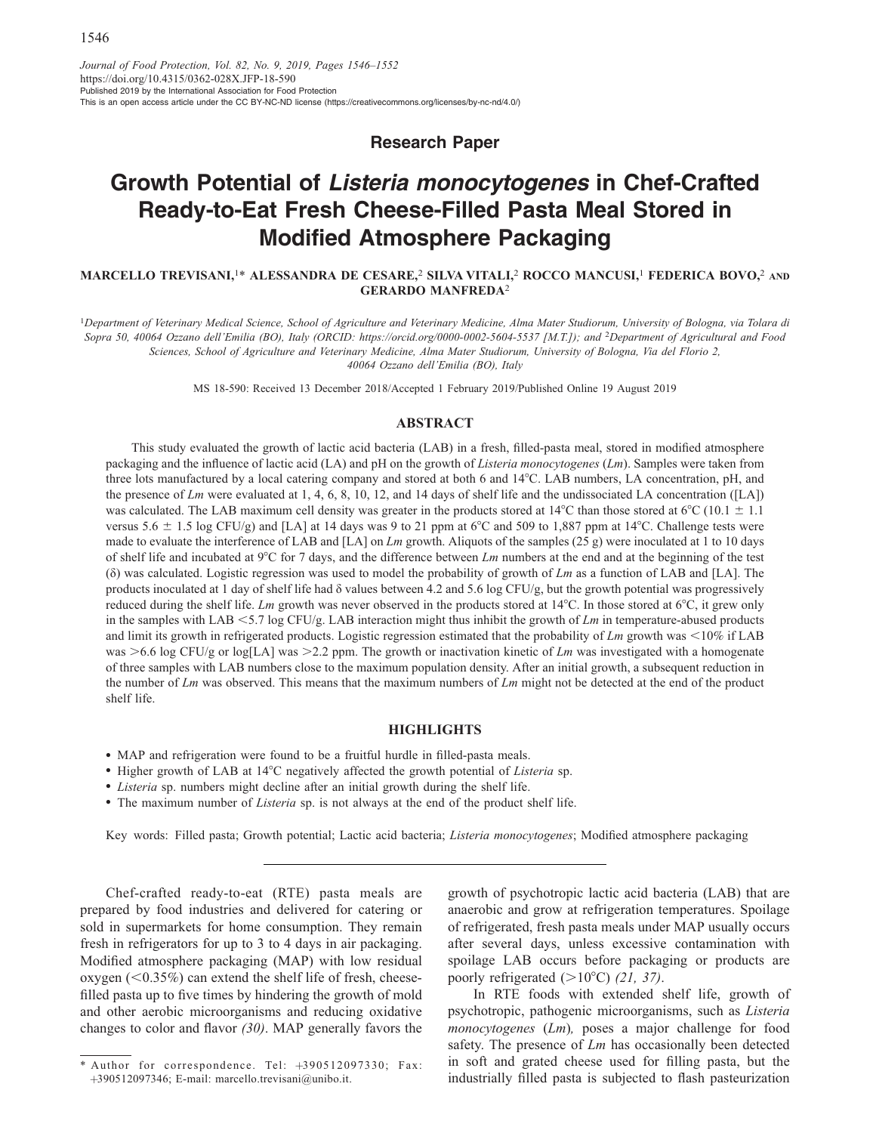Research Paper

# Growth Potential of Listeria monocytogenes in Chef-Crafted Ready-to-Eat Fresh Cheese-Filled Pasta Meal Stored in Modified Atmosphere Packaging

MARCELLO TREVISANI,<sup>1\*</sup> ALESSANDRA DE CESARE,<sup>2</sup> SILVA VITALI,<sup>2</sup> ROCCO MANCUSI,<sup>1</sup> FEDERICA BOVO,<sup>2</sup> AND GERARDO MANFREDA<sup>2</sup>

<sup>1</sup>Department of Veterinary Medical Science, School of Agriculture and Veterinary Medicine, Alma Mater Studiorum, University of Bologna, via Tolara di Sopra 50, 40064 Ozzano dell'Emilia (BO), Italy (ORCID:<https://orcid.org/0000-0002-5604-5537> [M.T.]); and <sup>2</sup>Department of Agricultural and Food Sciences, School of Agriculture and Veterinary Medicine, Alma Mater Studiorum, University of Bologna, Via del Florio 2, 40064 Ozzano dell'Emilia (BO), Italy

MS 18-590: Received 13 December 2018/Accepted 1 February 2019/Published Online 19 August 2019

## ABSTRACT

This study evaluated the growth of lactic acid bacteria (LAB) in a fresh, filled-pasta meal, stored in modified atmosphere packaging and the influence of lactic acid (LA) and pH on the growth of Listeria monocytogenes (Lm). Samples were taken from three lots manufactured by a local catering company and stored at both 6 and 14°C. LAB numbers, LA concentration, pH, and the presence of  $Lm$  were evaluated at 1, 4, 6, 8, 10, 12, and 14 days of shelf life and the undissociated LA concentration ([LA]) was calculated. The LAB maximum cell density was greater in the products stored at 14 $^{\circ}$ C than those stored at 6 $^{\circ}$ C (10.1  $\pm$  1.1 versus 5.6  $\pm$  1.5 log CFU/g) and [LA] at 14 days was 9 to 21 ppm at 6°C and 509 to 1,887 ppm at 14°C. Challenge tests were made to evaluate the interference of LAB and [LA] on Lm growth. Aliquots of the samples (25 g) were inoculated at 1 to 10 days of shelf life and incubated at  $9^{\circ}$ C for 7 days, and the difference between Lm numbers at the end and at the beginning of the test (δ) was calculated. Logistic regression was used to model the probability of growth of  $Lm$  as a function of LAB and [LA]. The products inoculated at 1 day of shelf life had δ values between 4.2 and 5.6 log CFU/g, but the growth potential was progressively reduced during the shelf life. Lm growth was never observed in the products stored at  $14^{\circ}$ C. In those stored at  $6^{\circ}$ C, it grew only in the samples with LAB  $\lt$  5.7 log CFU/g. LAB interaction might thus inhibit the growth of Lm in temperature-abused products and limit its growth in refrigerated products. Logistic regression estimated that the probability of  $Lm$  growth was  $<10\%$  if LAB was  $>6.6$  log CFU/g or log[LA] was  $>2.2$  ppm. The growth or inactivation kinetic of Lm was investigated with a homogenate of three samples with LAB numbers close to the maximum population density. After an initial growth, a subsequent reduction in the number of  $Lm$  was observed. This means that the maximum numbers of  $Lm$  might not be detected at the end of the product shelf life.

#### **HIGHLIGHTS**

- MAP and refrigeration were found to be a fruitful hurdle in filled-pasta meals.
- Higher growth of LAB at 14°C negatively affected the growth potential of Listeria sp.
- Listeria sp. numbers might decline after an initial growth during the shelf life.
- The maximum number of *Listeria* sp. is not always at the end of the product shelf life.

Key words: Filled pasta; Growth potential; Lactic acid bacteria; Listeria monocytogenes; Modified atmosphere packaging

Chef-crafted ready-to-eat (RTE) pasta meals are prepared by food industries and delivered for catering or sold in supermarkets for home consumption. They remain fresh in refrigerators for up to 3 to 4 days in air packaging. Modified atmosphere packaging (MAP) with low residual oxygen  $(< 0.35\%)$  can extend the shelf life of fresh, cheesefilled pasta up to five times by hindering the growth of mold and other aerobic microorganisms and reducing oxidative changes to color and flavor (30). MAP generally favors the growth of psychotropic lactic acid bacteria (LAB) that are anaerobic and grow at refrigeration temperatures. Spoilage of refrigerated, fresh pasta meals under MAP usually occurs after several days, unless excessive contamination with spoilage LAB occurs before packaging or products are poorly refrigerated  $(>10^{\circ}C)$  (21, 37).

In RTE foods with extended shelf life, growth of psychotropic, pathogenic microorganisms, such as Listeria monocytogenes (Lm), poses a major challenge for food safety. The presence of Lm has occasionally been detected in soft and grated cheese used for filling pasta, but the industrially filled pasta is subjected to flash pasteurization

<sup>\*</sup> Author for correspondence. Tel:  $+390512097330$ ; Fax: þ390512097346; E-mail: [marcello.trevisani@unibo.it](mailto:marcello.trevisani@unibo.it).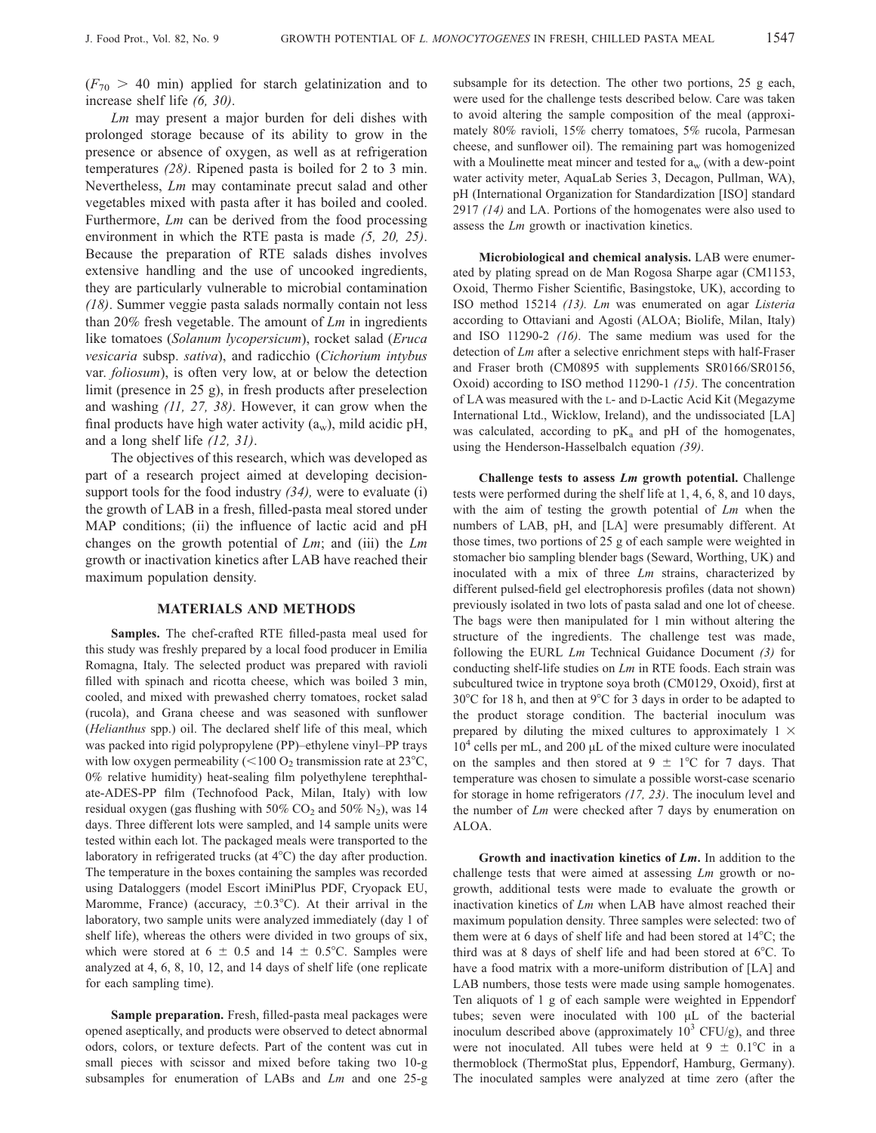$Lm$  may present a major burden for deli dishes with prolonged storage because of its ability to grow in the presence or absence of oxygen, as well as at refrigeration temperatures (28). Ripened pasta is boiled for 2 to 3 min. Nevertheless, Lm may contaminate precut salad and other vegetables mixed with pasta after it has boiled and cooled. Furthermore,  $Lm$  can be derived from the food processing environment in which the RTE pasta is made  $(5, 20, 25)$ . Because the preparation of RTE salads dishes involves extensive handling and the use of uncooked ingredients, they are particularly vulnerable to microbial contamination (18). Summer veggie pasta salads normally contain not less than 20% fresh vegetable. The amount of  $Lm$  in ingredients like tomatoes (Solanum lycopersicum), rocket salad (Eruca vesicaria subsp. sativa), and radicchio (Cichorium intybus var. foliosum), is often very low, at or below the detection limit (presence in 25 g), in fresh products after preselection and washing (11, 27, 38). However, it can grow when the final products have high water activity  $(a_w)$ , mild acidic pH, and a long shelf life (12, 31).

The objectives of this research, which was developed as part of a research project aimed at developing decisionsupport tools for the food industry  $(34)$ , were to evaluate (i) the growth of LAB in a fresh, filled-pasta meal stored under MAP conditions; (ii) the influence of lactic acid and pH changes on the growth potential of  $Lm$ ; and (iii) the  $Lm$ growth or inactivation kinetics after LAB have reached their maximum population density.

### MATERIALS AND METHODS

Samples. The chef-crafted RTE filled-pasta meal used for this study was freshly prepared by a local food producer in Emilia Romagna, Italy. The selected product was prepared with ravioli filled with spinach and ricotta cheese, which was boiled 3 min, cooled, and mixed with prewashed cherry tomatoes, rocket salad (rucola), and Grana cheese and was seasoned with sunflower (Helianthus spp.) oil. The declared shelf life of this meal, which was packed into rigid polypropylene (PP)–ethylene vinyl–PP trays with low oxygen permeability ( $<$ 100 O<sub>2</sub> transmission rate at 23 $^{\circ}$ C, 0% relative humidity) heat-sealing film polyethylene terephthalate-ADES-PP film (Technofood Pack, Milan, Italy) with low residual oxygen (gas flushing with  $50\%$  CO<sub>2</sub> and  $50\%$  N<sub>2</sub>), was 14 days. Three different lots were sampled, and 14 sample units were tested within each lot. The packaged meals were transported to the laboratory in refrigerated trucks (at  $4^{\circ}$ C) the day after production. The temperature in the boxes containing the samples was recorded using Dataloggers (model Escort iMiniPlus PDF, Cryopack EU, Maromme, France) (accuracy,  $\pm 0.3^{\circ}$ C). At their arrival in the laboratory, two sample units were analyzed immediately (day 1 of shelf life), whereas the others were divided in two groups of six, which were stored at 6  $\pm$  0.5 and 14  $\pm$  0.5°C. Samples were analyzed at 4, 6, 8, 10, 12, and 14 days of shelf life (one replicate for each sampling time).

Sample preparation. Fresh, filled-pasta meal packages were opened aseptically, and products were observed to detect abnormal odors, colors, or texture defects. Part of the content was cut in small pieces with scissor and mixed before taking two 10-g subsamples for enumeration of LABs and Lm and one 25-g subsample for its detection. The other two portions, 25 g each, were used for the challenge tests described below. Care was taken to avoid altering the sample composition of the meal (approximately 80% ravioli, 15% cherry tomatoes, 5% rucola, Parmesan cheese, and sunflower oil). The remaining part was homogenized with a Moulinette meat mincer and tested for  $a_w$  (with a dew-point water activity meter, AquaLab Series 3, Decagon, Pullman, WA), pH (International Organization for Standardization [ISO] standard 2917 (14) and LA. Portions of the homogenates were also used to assess the Lm growth or inactivation kinetics.

Microbiological and chemical analysis. LAB were enumerated by plating spread on de Man Rogosa Sharpe agar (CM1153, Oxoid, Thermo Fisher Scientific, Basingstoke, UK), according to ISO method 15214 (13). Lm was enumerated on agar Listeria according to Ottaviani and Agosti (ALOA; Biolife, Milan, Italy) and ISO 11290-2 (16). The same medium was used for the detection of Lm after a selective enrichment steps with half-Fraser and Fraser broth (CM0895 with supplements SR0166/SR0156, Oxoid) according to ISO method 11290-1 (15). The concentration of LA was measured with the L- and D-Lactic Acid Kit (Megazyme International Ltd., Wicklow, Ireland), and the undissociated [LA] was calculated, according to  $pK_a$  and  $pH$  of the homogenates, using the Henderson-Hasselbalch equation (39).

Challenge tests to assess Lm growth potential. Challenge tests were performed during the shelf life at 1, 4, 6, 8, and 10 days, with the aim of testing the growth potential of  $Lm$  when the numbers of LAB, pH, and [LA] were presumably different. At those times, two portions of 25 g of each sample were weighted in stomacher bio sampling blender bags (Seward, Worthing, UK) and inoculated with a mix of three Lm strains, characterized by different pulsed-field gel electrophoresis profiles (data not shown) previously isolated in two lots of pasta salad and one lot of cheese. The bags were then manipulated for 1 min without altering the structure of the ingredients. The challenge test was made, following the EURL Lm Technical Guidance Document (3) for conducting shelf-life studies on Lm in RTE foods. Each strain was subcultured twice in tryptone soya broth (CM0129, Oxoid), first at  $30^{\circ}$ C for 18 h, and then at  $9^{\circ}$ C for 3 days in order to be adapted to the product storage condition. The bacterial inoculum was prepared by diluting the mixed cultures to approximately  $1 \times$  $10<sup>4</sup>$  cells per mL, and 200  $\mu$ L of the mixed culture were inoculated on the samples and then stored at  $9 \pm 1^{\circ}$ C for 7 days. That temperature was chosen to simulate a possible worst-case scenario for storage in home refrigerators (17, 23). The inoculum level and the number of  $Lm$  were checked after 7 days by enumeration on ALOA.

Growth and inactivation kinetics of  $Lm$ . In addition to the challenge tests that were aimed at assessing Lm growth or nogrowth, additional tests were made to evaluate the growth or inactivation kinetics of Lm when LAB have almost reached their maximum population density. Three samples were selected: two of them were at 6 days of shelf life and had been stored at  $14^{\circ}$ C; the third was at 8 days of shelf life and had been stored at  $6^{\circ}$ C. To have a food matrix with a more-uniform distribution of [LA] and LAB numbers, those tests were made using sample homogenates. Ten aliquots of 1 g of each sample were weighted in Eppendorf tubes; seven were inoculated with 100 μL of the bacterial inoculum described above (approximately  $10^3$  CFU/g), and three were not inoculated. All tubes were held at  $9 \pm 0.1^{\circ}\text{C}$  in a thermoblock (ThermoStat plus, Eppendorf, Hamburg, Germany). The inoculated samples were analyzed at time zero (after the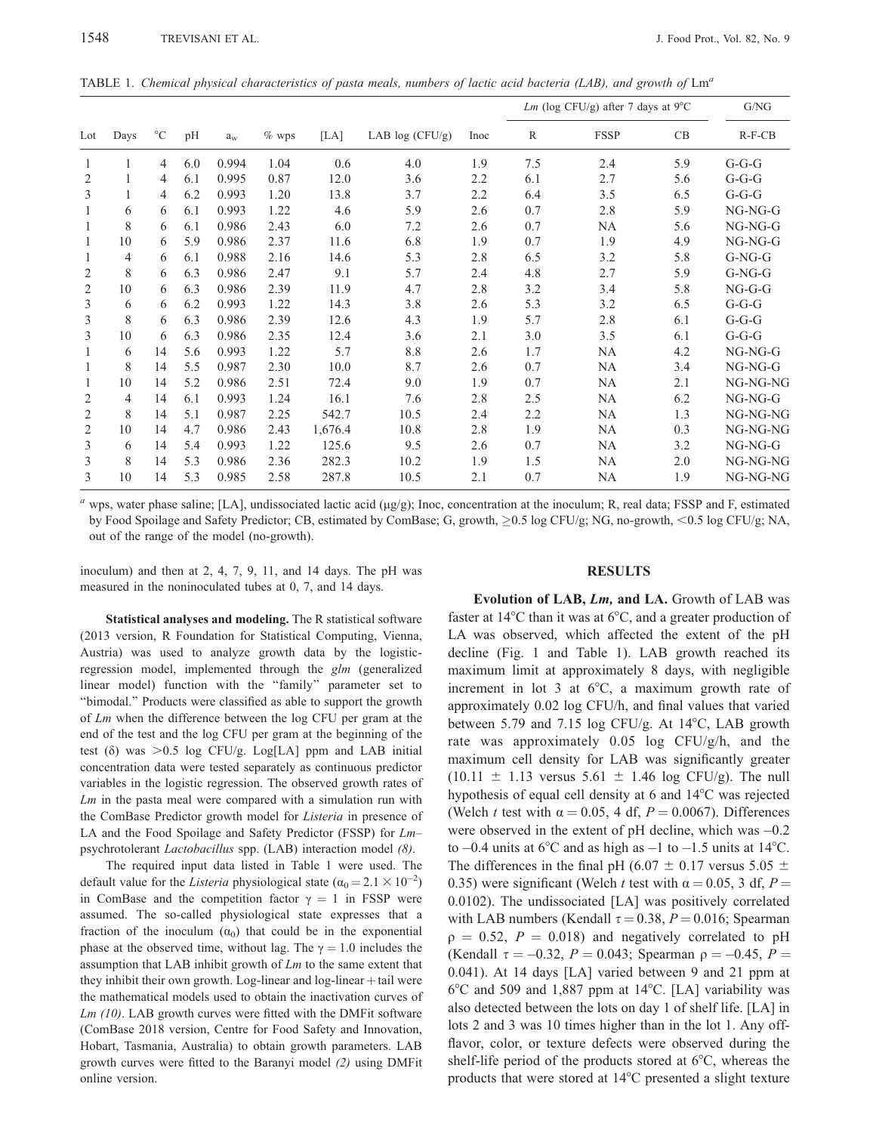TABLE 1. Chemical physical characteristics of pasta meals, numbers of lactic acid bacteria (LAB), and growth of  $\text{Lm}^a$ 

| Lot | Days | $^{\circ}C$ | pH  | $a_w$ | $\%$ wps | [LA]    | LAB $log(CFU/g)$ | Inoc | Lm (log CFU/g) after 7 days at $9^{\circ}$ C |             |     | G/NG      |
|-----|------|-------------|-----|-------|----------|---------|------------------|------|----------------------------------------------|-------------|-----|-----------|
|     |      |             |     |       |          |         |                  |      | $\mathbb{R}$                                 | <b>FSSP</b> | CB  | $R-F-CB$  |
| 1   |      | 4           | 6.0 | 0.994 | 1.04     | 0.6     | 4.0              | 1.9  | 7.5                                          | 2.4         | 5.9 | $G-G-G$   |
| 2   |      | 4           | 6.1 | 0.995 | 0.87     | 12.0    | 3.6              | 2.2  | 6.1                                          | 2.7         | 5.6 | $G-G-G$   |
| 3   |      | 4           | 6.2 | 0.993 | 1.20     | 13.8    | 3.7              | 2.2  | 6.4                                          | 3.5         | 6.5 | $G-G-G$   |
| 1   | 6    | 6           | 6.1 | 0.993 | 1.22     | 4.6     | 5.9              | 2.6  | 0.7                                          | 2.8         | 5.9 | $NG-NG-G$ |
|     | 8    | 6           | 6.1 | 0.986 | 2.43     | 6.0     | 7.2              | 2.6  | 0.7                                          | <b>NA</b>   | 5.6 | $NG-NG-G$ |
| 1   | 10   | 6           | 5.9 | 0.986 | 2.37     | 11.6    | 6.8              | 1.9  | 0.7                                          | 1.9         | 4.9 | $NG-NG-G$ |
| 1   | 4    | 6           | 6.1 | 0.988 | 2.16     | 14.6    | 5.3              | 2.8  | 6.5                                          | 3.2         | 5.8 | $G-NG-G$  |
| 2   | 8    | 6           | 6.3 | 0.986 | 2.47     | 9.1     | 5.7              | 2.4  | 4.8                                          | 2.7         | 5.9 | $G-NG-G$  |
| 2   | 10   | 6           | 6.3 | 0.986 | 2.39     | 11.9    | 4.7              | 2.8  | 3.2                                          | 3.4         | 5.8 | $NG-G-G$  |
| 3   | 6    | 6           | 6.2 | 0.993 | 1.22     | 14.3    | 3.8              | 2.6  | 5.3                                          | 3.2         | 6.5 | $G-G-G$   |
| 3   | 8    | 6           | 6.3 | 0.986 | 2.39     | 12.6    | 4.3              | 1.9  | 5.7                                          | 2.8         | 6.1 | $G-G-G$   |
| 3   | 10   | 6           | 6.3 | 0.986 | 2.35     | 12.4    | 3.6              | 2.1  | 3.0                                          | 3.5         | 6.1 | $G-G-G$   |
|     | 6    | 14          | 5.6 | 0.993 | 1.22     | 5.7     | 8.8              | 2.6  | 1.7                                          | <b>NA</b>   | 4.2 | NG-NG-G   |
| 1   | 8    | 14          | 5.5 | 0.987 | 2.30     | 10.0    | 8.7              | 2.6  | 0.7                                          | <b>NA</b>   | 3.4 | $NG-NG-G$ |
| 1   | 10   | 14          | 5.2 | 0.986 | 2.51     | 72.4    | 9.0              | 1.9  | 0.7                                          | NA.         | 2.1 | NG-NG-NG  |
| 2   | 4    | 14          | 6.1 | 0.993 | 1.24     | 16.1    | 7.6              | 2.8  | 2.5                                          | <b>NA</b>   | 6.2 | $NG-NG-G$ |
| 2   | 8    | 14          | 5.1 | 0.987 | 2.25     | 542.7   | 10.5             | 2.4  | 2.2                                          | <b>NA</b>   | 1.3 | NG-NG-NG  |
| 2   | 10   | 14          | 4.7 | 0.986 | 2.43     | 1,676.4 | 10.8             | 2.8  | 1.9                                          | <b>NA</b>   | 0.3 | NG-NG-NG  |
| 3   | 6    | 14          | 5.4 | 0.993 | 1.22     | 125.6   | 9.5              | 2.6  | 0.7                                          | <b>NA</b>   | 3.2 | $NG-NG-G$ |
| 3   | 8    | 14          | 5.3 | 0.986 | 2.36     | 282.3   | 10.2             | 1.9  | 1.5                                          | <b>NA</b>   | 2.0 | NG-NG-NG  |
| 3   | 10   | 14          | 5.3 | 0.985 | 2.58     | 287.8   | 10.5             | 2.1  | 0.7                                          | <b>NA</b>   | 1.9 | NG-NG-NG  |

<sup>a</sup> wps, water phase saline; [LA], undissociated lactic acid ( $\mu$ g/g); Inoc, concentration at the inoculum; R, real data; FSSP and F, estimated by Food Spoilage and Safety Predictor; CB, estimated by ComBase; G, growth,  $\geq 0.5$  log CFU/g; NG, no-growth,  $\leq 0.5$  log CFU/g; NA, out of the range of the model (no-growth).

inoculum) and then at 2, 4, 7, 9, 11, and 14 days. The pH was measured in the noninoculated tubes at 0, 7, and 14 days.

#### RESULTS

Statistical analyses and modeling. The R statistical software (2013 version, R Foundation for Statistical Computing, Vienna, Austria) was used to analyze growth data by the logisticregression model, implemented through the glm (generalized linear model) function with the ''family'' parameter set to ''bimodal.'' Products were classified as able to support the growth of Lm when the difference between the log CFU per gram at the end of the test and the log CFU per gram at the beginning of the test (δ) was  $>0.5$  log CFU/g. Log[LA] ppm and LAB initial concentration data were tested separately as continuous predictor variables in the logistic regression. The observed growth rates of  $Lm$  in the pasta meal were compared with a simulation run with the ComBase Predictor growth model for Listeria in presence of LA and the Food Spoilage and Safety Predictor (FSSP) for Lm– psychrotolerant Lactobacillus spp. (LAB) interaction model (8).

The required input data listed in Table 1 were used. The default value for the *Listeria* physiological state  $(\alpha_0 = 2.1 \times 10^{-2})$ in ComBase and the competition factor  $\gamma = 1$  in FSSP were assumed. The so-called physiological state expresses that a fraction of the inoculum  $(\alpha_0)$  that could be in the exponential phase at the observed time, without lag. The  $\gamma = 1.0$  includes the assumption that LAB inhibit growth of  $Lm$  to the same extent that they inhibit their own growth. Log-linear and log-linear  $+$  tail were the mathematical models used to obtain the inactivation curves of Lm (10). LAB growth curves were fitted with the DMFit software (ComBase 2018 version, Centre for Food Safety and Innovation, Hobart, Tasmania, Australia) to obtain growth parameters. LAB growth curves were fitted to the Baranyi model (2) using DMFit online version.

Evolution of LAB, Lm, and LA. Growth of LAB was faster at  $14^{\circ}$ C than it was at  $6^{\circ}$ C, and a greater production of LA was observed, which affected the extent of the pH decline (Fig. 1 and Table 1). LAB growth reached its maximum limit at approximately 8 days, with negligible increment in lot 3 at  $6^{\circ}$ C, a maximum growth rate of approximately 0.02 log CFU/h, and final values that varied between 5.79 and 7.15 log CFU/g. At  $14^{\circ}$ C, LAB growth rate was approximately 0.05 log CFU/g/h, and the maximum cell density for LAB was significantly greater  $(10.11 \pm 1.13 \text{ versus } 5.61 \pm 1.46 \text{ log CFU/g}).$  The null hypothesis of equal cell density at 6 and 14°C was rejected (Welch t test with  $\alpha = 0.05$ , 4 df,  $P = 0.0067$ ). Differences were observed in the extent of  $pH$  decline, which was  $-0.2$ to  $-0.4$  units at 6°C and as high as  $-1$  to  $-1.5$  units at 14°C. The differences in the final pH (6.07  $\pm$  0.17 versus 5.05  $\pm$ 0.35) were significant (Welch t test with  $\alpha = 0.05$ , 3 df, P = 0.0102). The undissociated [LA] was positively correlated with LAB numbers (Kendall  $\tau = 0.38$ ,  $P = 0.016$ ; Spearman  $p = 0.52$ ,  $P = 0.018$ ) and negatively correlated to pH (Kendall  $\tau = -0.32$ ,  $P = 0.043$ ; Spearman  $\rho = -0.45$ ,  $P =$ 0.041). At 14 days [LA] varied between 9 and 21 ppm at  $6^{\circ}$ C and 509 and 1,887 ppm at 14 $^{\circ}$ C. [LA] variability was also detected between the lots on day 1 of shelf life. [LA] in lots 2 and 3 was 10 times higher than in the lot 1. Any offflavor, color, or texture defects were observed during the shelf-life period of the products stored at  $6^{\circ}$ C, whereas the products that were stored at 14°C presented a slight texture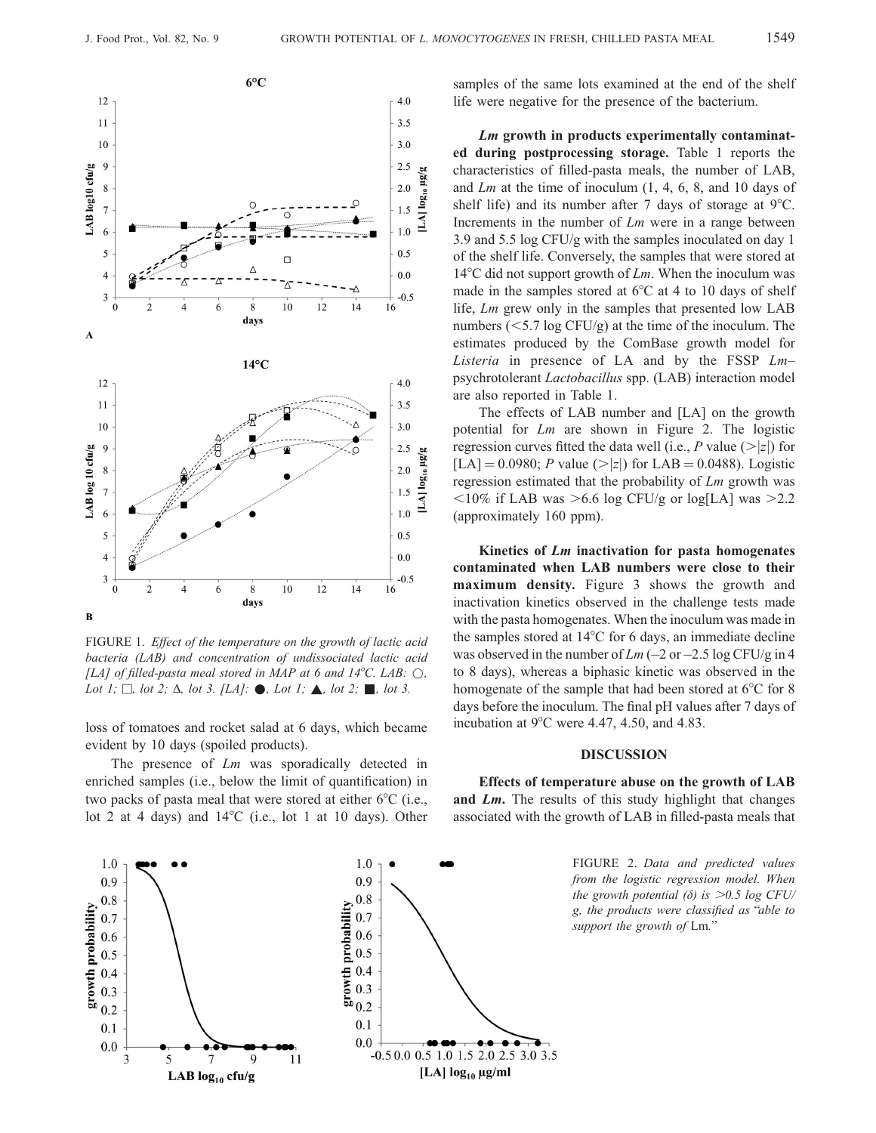

FIGURE 1. Effect of the temperature on the growth of lactic acid bacteria (LAB) and concentration of undissociated lactic acid [LA] of filled-pasta meal stored in MAP at 6 and  $14^{\circ}$ C. LAB:  $\circlearrowright$ , Lot 1;  $\Box$ , lot 2;  $\Delta$ , lot 3. [LA]:  $\bullet$ , Lot 1;  $\blacktriangle$ , lot 2;  $\blacksquare$ , lot 3.

loss of tomatoes and rocket salad at 6 days, which became evident by 10 days (spoiled products).

The presence of Lm was sporadically detected in enriched samples (i.e., below the limit of quantification) in two packs of pasta meal that were stored at either  $6^{\circ}C$  (i.e., lot 2 at 4 days) and  $14^{\circ}$ C (i.e., lot 1 at 10 days). Other samples of the same lots examined at the end of the shelf life were negative for the presence of the bacterium.

Lm growth in products experimentally contaminated during postprocessing storage. Table 1 reports the characteristics of filled-pasta meals, the number of LAB, and Lm at the time of inoculum (1, 4, 6, 8, and 10 days of shelf life) and its number after 7 days of storage at  $9^{\circ}$ C. Increments in the number of Lm were in a range between 3.9 and 5.5 log CFU/g with the samples inoculated on day 1 of the shelf life. Conversely, the samples that were stored at 14 $\rm ^{o}C$  did not support growth of  $Lm$ . When the inoculum was made in the samples stored at  $6^{\circ}$ C at 4 to 10 days of shelf life, Lm grew only in the samples that presented low LAB numbers  $(<5.7 \log CFU/g)$  at the time of the inoculum. The estimates produced by the ComBase growth model for Listeria in presence of LA and by the FSSP  $Lm$ psychrotolerant Lactobacillus spp. (LAB) interaction model are also reported in Table 1.

The effects of LAB number and [LA] on the growth potential for Lm are shown in Figure 2. The logistic regression curves fitted the data well (i.e., P value ( $>|z|$ ) for [LA] = 0.0980; P value ( $>|z|$ ) for LAB = 0.0488). Logistic regression estimated that the probability of Lm growth was  $\langle 10\% \text{ if } LAB \text{ was } >6.6 \text{ log } CFU/g \text{ or } log[LA] \text{ was } >2.2$ (approximately 160 ppm).

Kinetics of Lm inactivation for pasta homogenates contaminated when LAB numbers were close to their maximum density. Figure 3 shows the growth and inactivation kinetics observed in the challenge tests made with the pasta homogenates. When the inoculum was made in the samples stored at  $14^{\circ}$ C for 6 days, an immediate decline was observed in the number of  $Lm$  (-2 or -2.5 log CFU/g in 4 to 8 days), whereas a biphasic kinetic was observed in the homogenate of the sample that had been stored at  $6^{\circ}$ C for 8 days before the inoculum. The final pH values after 7 days of incubation at  $9^{\circ}$ C were 4.47, 4.50, and 4.83.

#### DISCUSSION

Effects of temperature abuse on the growth of LAB and Lm. The results of this study highlight that changes associated with the growth of LAB in filled-pasta meals that

> FIGURE 2. Data and predicted values from the logistic regression model. When the growth potential ( $\delta$ ) is  $>0.5$  log CFU/ g, the products were classified as''able to support the growth of Lm.''

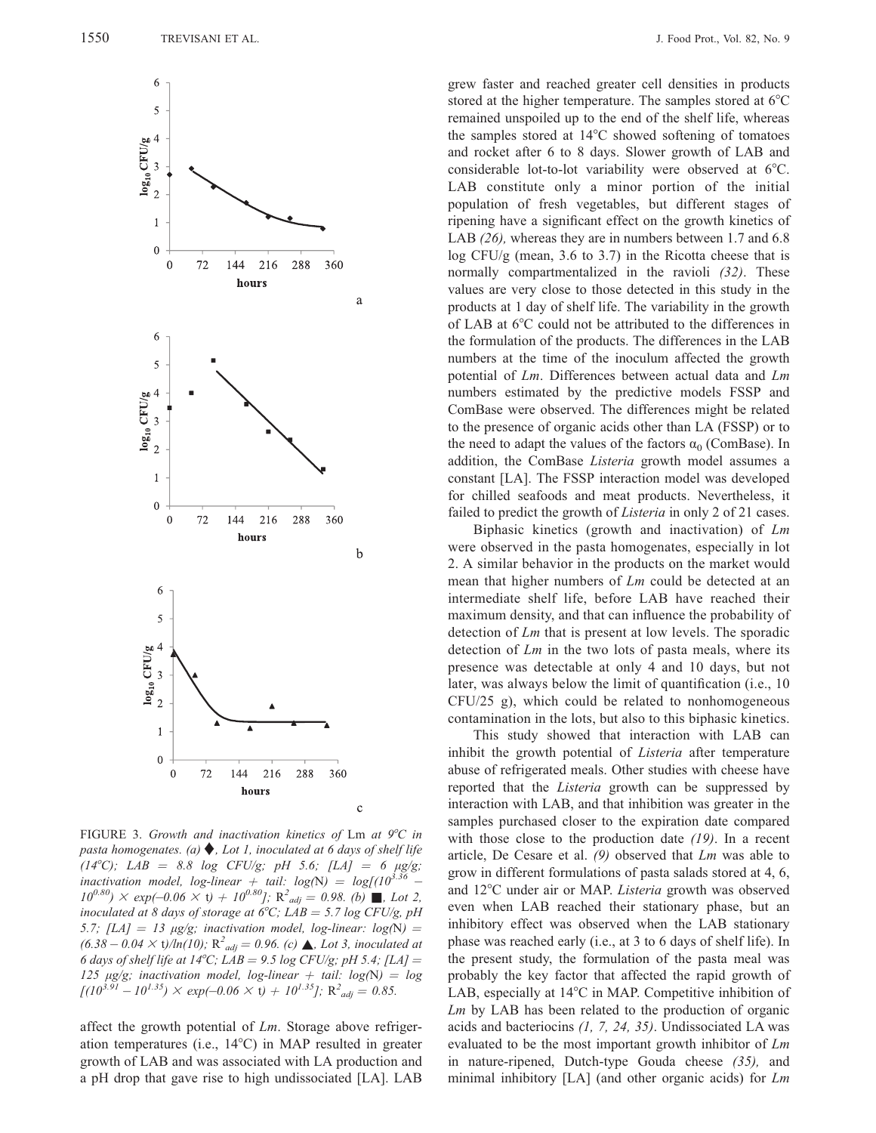

FIGURE 3. Growth and inactivation kinetics of Lm at  $9^{\circ}C$  in pasta homogenates. (a)  $\blacklozenge$ , Lot 1, inoculated at 6 days of shelf life (14°C); LAB = 8.8 log CFU/g; pH 5.6; [LA] = 6  $\mu$ g/g; inactivation model, log-linear  $+$  tail: log(N) = log[(10<sup>3.36</sup> –  $10^{0.80}$ )  $\times$  exp(-0.06  $\times$  t) +  $10^{0.80}$ ]; R<sup>2</sup><sub>adj</sub> = 0.98. (b) **.** Lot 2, inoculated at 8 days of storage at 6°C; LAB = 5.7 log CFU/g, pH 5.7; [LA] = 13  $\mu$ g/g; inactivation model, log-linear: log(N) =  $(6.38 - 0.04 \times t)/ln(10)$ ;  $R^2_{adj} = 0.96$ . (c)  $\triangle$ , Lot 3, inoculated at 6 days of shelf life at 14°C; LAB = 9.5 log CFU/g; pH 5.4; [LA] = 125 μg/g; inactivation model, log-linear  $+$  tail: log(N) = log  $[(10^{3.91} - 10^{1.35}) \times \exp(-0.06 \times t) + 10^{1.35}]; R<sup>2</sup>_{adj} = 0.85.$ 

affect the growth potential of Lm. Storage above refrigeration temperatures (i.e.,  $14^{\circ}$ C) in MAP resulted in greater growth of LAB and was associated with LA production and a pH drop that gave rise to high undissociated [LA]. LAB grew faster and reached greater cell densities in products stored at the higher temperature. The samples stored at  $6^{\circ}$ C remained unspoiled up to the end of the shelf life, whereas the samples stored at  $14^{\circ}$ C showed softening of tomatoes and rocket after 6 to 8 days. Slower growth of LAB and considerable lot-to-lot variability were observed at  $6^{\circ}$ C. LAB constitute only a minor portion of the initial population of fresh vegetables, but different stages of ripening have a significant effect on the growth kinetics of LAB (26), whereas they are in numbers between 1.7 and 6.8  $log CFU/g$  (mean, 3.6 to 3.7) in the Ricotta cheese that is normally compartmentalized in the ravioli (32). These values are very close to those detected in this study in the products at 1 day of shelf life. The variability in the growth of LAB at  $6^{\circ}$ C could not be attributed to the differences in the formulation of the products. The differences in the LAB numbers at the time of the inoculum affected the growth potential of Lm. Differences between actual data and Lm numbers estimated by the predictive models FSSP and ComBase were observed. The differences might be related to the presence of organic acids other than LA (FSSP) or to the need to adapt the values of the factors  $\alpha_0$  (ComBase). In addition, the ComBase Listeria growth model assumes a constant [LA]. The FSSP interaction model was developed for chilled seafoods and meat products. Nevertheless, it failed to predict the growth of *Listeria* in only 2 of 21 cases.

Biphasic kinetics (growth and inactivation) of Lm were observed in the pasta homogenates, especially in lot 2. A similar behavior in the products on the market would mean that higher numbers of Lm could be detected at an intermediate shelf life, before LAB have reached their maximum density, and that can influence the probability of detection of Lm that is present at low levels. The sporadic detection of  $Lm$  in the two lots of pasta meals, where its presence was detectable at only 4 and 10 days, but not later, was always below the limit of quantification (i.e., 10 CFU/25 g), which could be related to nonhomogeneous contamination in the lots, but also to this biphasic kinetics.

This study showed that interaction with LAB can inhibit the growth potential of Listeria after temperature abuse of refrigerated meals. Other studies with cheese have reported that the Listeria growth can be suppressed by interaction with LAB, and that inhibition was greater in the samples purchased closer to the expiration date compared with those close to the production date (19). In a recent article, De Cesare et al.  $(9)$  observed that  $Lm$  was able to grow in different formulations of pasta salads stored at 4, 6, and 12°C under air or MAP. Listeria growth was observed even when LAB reached their stationary phase, but an inhibitory effect was observed when the LAB stationary phase was reached early (i.e., at 3 to 6 days of shelf life). In the present study, the formulation of the pasta meal was probably the key factor that affected the rapid growth of LAB, especially at  $14^{\circ}$ C in MAP. Competitive inhibition of Lm by LAB has been related to the production of organic acids and bacteriocins (1, 7, 24, 35). Undissociated LA was evaluated to be the most important growth inhibitor of Lm in nature-ripened, Dutch-type Gouda cheese (35), and minimal inhibitory [LA] (and other organic acids) for Lm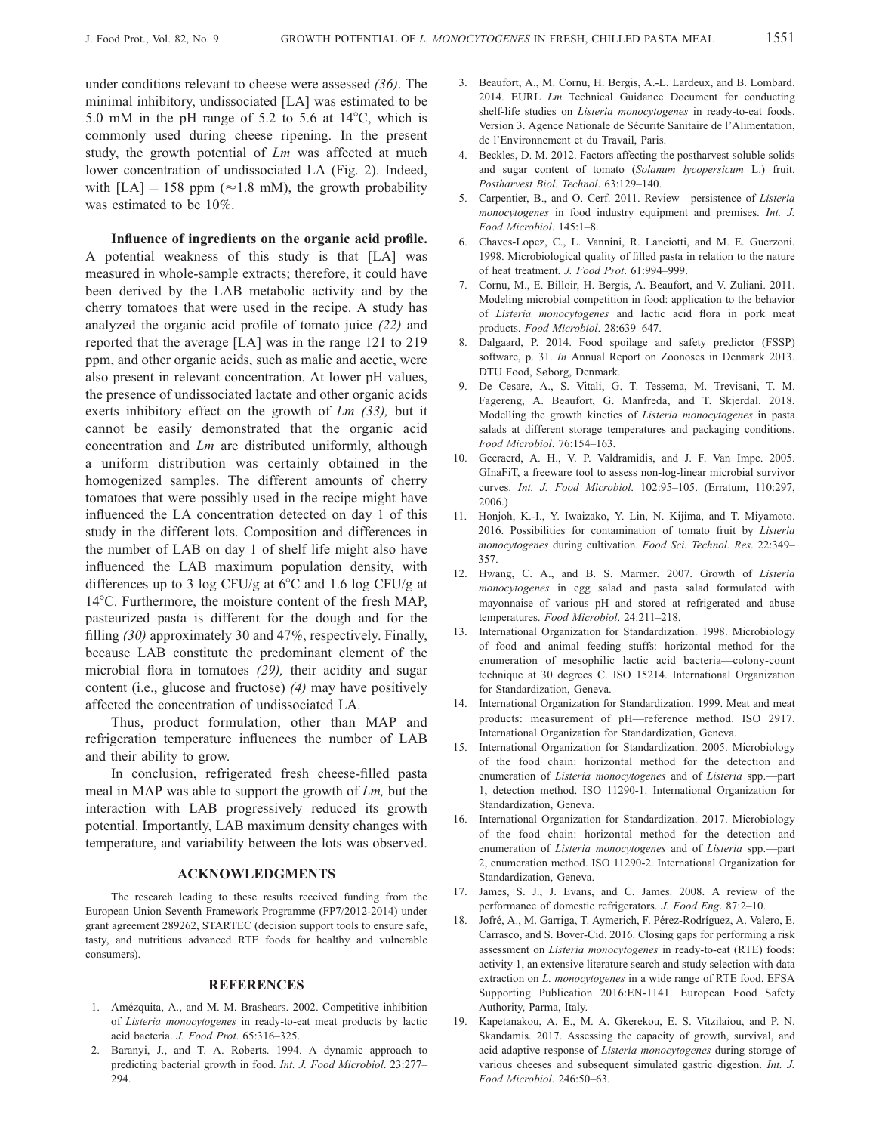under conditions relevant to cheese were assessed (36). The minimal inhibitory, undissociated [LA] was estimated to be 5.0 mM in the pH range of 5.2 to 5.6 at  $14^{\circ}$ C, which is commonly used during cheese ripening. In the present study, the growth potential of Lm was affected at much lower concentration of undissociated LA (Fig. 2). Indeed, with  $[LA] = 158$  ppm ( $\approx 1.8$  mM), the growth probability was estimated to be 10%.

Influence of ingredients on the organic acid profile. A potential weakness of this study is that [LA] was measured in whole-sample extracts; therefore, it could have been derived by the LAB metabolic activity and by the cherry tomatoes that were used in the recipe. A study has analyzed the organic acid profile of tomato juice (22) and reported that the average [LA] was in the range 121 to 219 ppm, and other organic acids, such as malic and acetic, were also present in relevant concentration. At lower pH values, the presence of undissociated lactate and other organic acids exerts inhibitory effect on the growth of  $Lm$  (33), but it cannot be easily demonstrated that the organic acid concentration and Lm are distributed uniformly, although a uniform distribution was certainly obtained in the homogenized samples. The different amounts of cherry tomatoes that were possibly used in the recipe might have influenced the LA concentration detected on day 1 of this study in the different lots. Composition and differences in the number of LAB on day 1 of shelf life might also have influenced the LAB maximum population density, with differences up to 3 log CFU/g at  $6^{\circ}$ C and 1.6 log CFU/g at 14<sup>°</sup>C. Furthermore, the moisture content of the fresh MAP, pasteurized pasta is different for the dough and for the filling (30) approximately 30 and 47%, respectively. Finally, because LAB constitute the predominant element of the microbial flora in tomatoes (29), their acidity and sugar content (i.e., glucose and fructose) (4) may have positively affected the concentration of undissociated LA.

Thus, product formulation, other than MAP and refrigeration temperature influences the number of LAB and their ability to grow.

In conclusion, refrigerated fresh cheese-filled pasta meal in MAP was able to support the growth of Lm, but the interaction with LAB progressively reduced its growth potential. Importantly, LAB maximum density changes with temperature, and variability between the lots was observed.

#### ACKNOWLEDGMENTS

The research leading to these results received funding from the European Union Seventh Framework Programme (FP7/2012-2014) under grant agreement 289262, STARTEC (decision support tools to ensure safe, tasty, and nutritious advanced RTE foods for healthy and vulnerable consumers).

#### **REFERENCES**

- 1. Amézquita, A., and M. M. Brashears. 2002. Competitive inhibition of Listeria monocytogenes in ready-to-eat meat products by lactic acid bacteria. J. Food Prot. 65:316–325.
- 2. Baranyi, J., and T. A. Roberts. 1994. A dynamic approach to predicting bacterial growth in food. Int. J. Food Microbiol. 23:277– 294.
- 3. Beaufort, A., M. Cornu, H. Bergis, A.-L. Lardeux, and B. Lombard. 2014. EURL *Lm* Technical Guidance Document for conducting shelf-life studies on Listeria monocytogenes in ready-to-eat foods. Version 3. Agence Nationale de Sécurité Sanitaire de l'Alimentation, de l'Environnement et du Travail, Paris.
- 4. Beckles, D. M. 2012. Factors affecting the postharvest soluble solids and sugar content of tomato (Solanum lycopersicum L.) fruit. Postharvest Biol. Technol. 63:129–140.
- 5. Carpentier, B., and O. Cerf. 2011. Review—persistence of Listeria monocytogenes in food industry equipment and premises. Int. J. Food Microbiol. 145:1–8.
- 6. Chaves-Lopez, C., L. Vannini, R. Lanciotti, and M. E. Guerzoni. 1998. Microbiological quality of filled pasta in relation to the nature of heat treatment. J. Food Prot. 61:994–999.
- 7. Cornu, M., E. Billoir, H. Bergis, A. Beaufort, and V. Zuliani. 2011. Modeling microbial competition in food: application to the behavior of Listeria monocytogenes and lactic acid flora in pork meat products. Food Microbiol. 28:639–647.
- 8. Dalgaard, P. 2014. Food spoilage and safety predictor (FSSP) software, p. 31. In Annual Report on Zoonoses in Denmark 2013. DTU Food, Søborg, Denmark.
- 9. De Cesare, A., S. Vitali, G. T. Tessema, M. Trevisani, T. M. Fagereng, A. Beaufort, G. Manfreda, and T. Skjerdal. 2018. Modelling the growth kinetics of Listeria monocytogenes in pasta salads at different storage temperatures and packaging conditions. Food Microbiol. 76:154–163.
- 10. Geeraerd, A. H., V. P. Valdramidis, and J. F. Van Impe. 2005. GInaFiT, a freeware tool to assess non-log-linear microbial survivor curves. Int. J. Food Microbiol. 102:95–105. (Erratum, 110:297, 2006.)
- 11. Honjoh, K.-I., Y. Iwaizako, Y. Lin, N. Kijima, and T. Miyamoto. 2016. Possibilities for contamination of tomato fruit by Listeria monocytogenes during cultivation. Food Sci. Technol. Res. 22:349– 357.
- 12. Hwang, C. A., and B. S. Marmer. 2007. Growth of Listeria monocytogenes in egg salad and pasta salad formulated with mayonnaise of various pH and stored at refrigerated and abuse temperatures. Food Microbiol. 24:211–218.
- 13. International Organization for Standardization. 1998. Microbiology of food and animal feeding stuffs: horizontal method for the enumeration of mesophilic lactic acid bacteria—colony-count technique at 30 degrees C. ISO 15214. International Organization for Standardization, Geneva.
- 14. International Organization for Standardization. 1999. Meat and meat products: measurement of pH—reference method. ISO 2917. International Organization for Standardization, Geneva.
- 15. International Organization for Standardization. 2005. Microbiology of the food chain: horizontal method for the detection and enumeration of Listeria monocytogenes and of Listeria spp.—part 1, detection method. ISO 11290-1. International Organization for Standardization, Geneva.
- 16. International Organization for Standardization. 2017. Microbiology of the food chain: horizontal method for the detection and enumeration of Listeria monocytogenes and of Listeria spp.—part 2, enumeration method. ISO 11290-2. International Organization for Standardization, Geneva.
- 17. James, S. J., J. Evans, and C. James. 2008. A review of the performance of domestic refrigerators. J. Food Eng. 87:2–10.
- 18. Jofré, A., M. Garriga, T. Aymerich, F. Pérez-Rodríguez, A. Valero, E. Carrasco, and S. Bover-Cid. 2016. Closing gaps for performing a risk assessment on Listeria monocytogenes in ready-to-eat (RTE) foods: activity 1, an extensive literature search and study selection with data extraction on L. monocytogenes in a wide range of RTE food. EFSA Supporting Publication 2016:EN-1141. European Food Safety Authority, Parma, Italy.
- 19. Kapetanakou, A. E., M. A. Gkerekou, E. S. Vitzilaiou, and P. N. Skandamis. 2017. Assessing the capacity of growth, survival, and acid adaptive response of Listeria monocytogenes during storage of various cheeses and subsequent simulated gastric digestion. Int. J. Food Microbiol. 246:50–63.